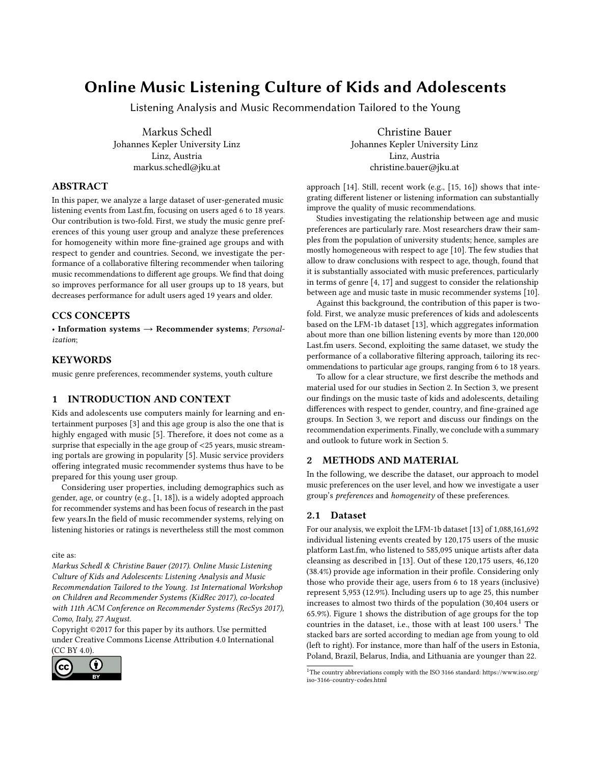# Online Music Listening Culture of Kids and Adolescents

Listening Analysis and Music Recommendation Tailored to the Young

Markus Schedl Johannes Kepler University Linz Linz, Austria markus.schedl@jku.at

## ABSTRACT

In this paper, we analyze a large dataset of user-generated music listening events from Last.fm, focusing on users aged 6 to 18 years. Our contribution is two-fold. First, we study the music genre preferences of this young user group and analyze these preferences for homogeneity within more fine-grained age groups and with respect to gender and countries. Second, we investigate the performance of a collaborative filtering recommender when tailoring music recommendations to different age groups. We find that doing so improves performance for all user groups up to 18 years, but decreases performance for adult users aged 19 years and older.

## CCS CONCEPTS

• Information systems  $\rightarrow$  Recommender systems; Personalization;

## **KEYWORDS**

music genre preferences, recommender systems, youth culture

## 1 INTRODUCTION AND CONTEXT

Kids and adolescents use computers mainly for learning and entertainment purposes [\[3\]](#page-3-0) and this age group is also the one that is highly engaged with music [\[5\]](#page-3-1). Therefore, it does not come as a surprise that especially in the age group of <25 years, music streaming portals are growing in popularity [\[5\]](#page-3-1). Music service providers offering integrated music recommender systems thus have to be prepared for this young user group.

Considering user properties, including demographics such as gender, age, or country (e.g., [\[1,](#page-3-2) [18\]](#page-3-3)), is a widely adopted approach for recommender systems and has been focus of research in the past few years.In the field of music recommender systems, relying on listening histories or ratings is nevertheless still the most common

cite as:

Markus Schedl & Christine Bauer (2017). Online Music Listening Culture of Kids and Adolescents: Listening Analysis and Music Recommendation Tailored to the Young. 1st International Workshop on Children and Recommender Systems (KidRec 2017), co-located with 11th ACM Conference on Recommender Systems (RecSys 2017), Como, Italy, 27 August.

Copyright ©2017 for this paper by its authors. Use permitted under Creative Commons License Attribution 4.0 International (CC BY 4.0).



Christine Bauer Johannes Kepler University Linz Linz, Austria christine.bauer@jku.at

approach [\[14\]](#page-3-4). Still, recent work (e.g., [\[15,](#page-3-5) [16\]](#page-3-6)) shows that integrating different listener or listening information can substantially improve the quality of music recommendations.

Studies investigating the relationship between age and music preferences are particularly rare. Most researchers draw their samples from the population of university students; hence, samples are mostly homogeneous with respect to age [\[10\]](#page-3-7). The few studies that allow to draw conclusions with respect to age, though, found that it is substantially associated with music preferences, particularly in terms of genre [\[4,](#page-3-8) [17\]](#page-3-9) and suggest to consider the relationship between age and music taste in music recommender systems [\[10\]](#page-3-7).

Against this background, the contribution of this paper is twofold. First, we analyze music preferences of kids and adolescents based on the LFM-1b dataset [\[13\]](#page-3-10), which aggregates information about more than one billion listening events by more than <sup>120</sup>,<sup>000</sup> Last.fm users. Second, exploiting the same dataset, we study the performance of a collaborative filtering approach, tailoring its recommendations to particular age groups, ranging from 6 to 18 years.

To allow for a clear structure, we first describe the methods and material used for our studies in Section [2.](#page-0-0) In Section [3,](#page-1-0) we present our findings on the music taste of kids and adolescents, detailing differences with respect to gender, country, and fine-grained age groups. In Section [3,](#page-1-0) we report and discuss our findings on the recommendation experiments. Finally, we conclude with a summary and outlook to future work in Section [5.](#page-2-0)

## <span id="page-0-0"></span>2 METHODS AND MATERIAL

In the following, we describe the dataset, our approach to model music preferences on the user level, and how we investigate a user group's preferences and homogeneity of these preferences.

### 2.1 Dataset

For our analysis, we exploit the LFM-1b dataset [\[13\]](#page-3-10) of 1,088,161,692 individual listening events created by 120,175 users of the music platform Last.fm, who listened to 585,095 unique artists after data cleansing as described in [\[13\]](#page-3-10). Out of these 120,175 users, 46,120 (38.4%) provide age information in their profile. Considering only those who provide their age, users from 6 to 18 years (inclusive) represent 5,953 (12.9%). Including users up to age 25, this number increases to almost two thirds of the population (30,404 users or 65.9%). Figure [1](#page-1-1) shows the distribution of age groups for the top countries in the dataset, i.e., those with at least  $100$  $100$  users.<sup>1</sup> The stacked bars are sorted according to median age from young to old (left to right). For instance, more than half of the users in Estonia, Poland, Brazil, Belarus, India, and Lithuania are younger than 22.

<span id="page-0-1"></span> $^{\rm 1}{\rm The}$  country abbreviations comply with the ISO 3166 standard: [https://www.iso.org/](https://www.iso.org/iso-3166-country-codes.html) [iso-3166-country-codes.html](https://www.iso.org/iso-3166-country-codes.html)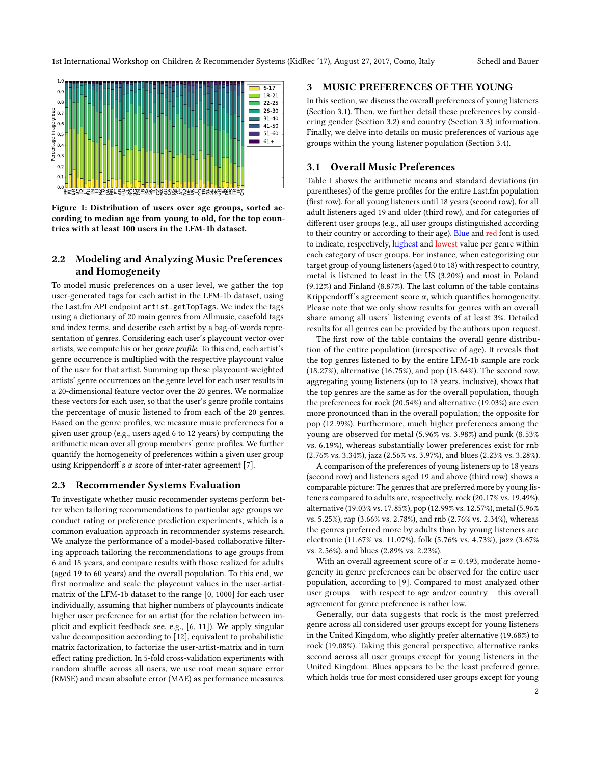<span id="page-1-1"></span>

Figure 1: Distribution of users over age groups, sorted according to median age from young to old, for the top countries with at least 100 users in the LFM-1b dataset.

## 2.2 Modeling and Analyzing Music Preferences and Homogeneity

To model music preferences on a user level, we gather the top user-generated tags for each artist in the LFM-1b dataset, using the Last.fm API endpoint artist.getTopTags. We index the tags using a dictionary of 20 main genres from Allmusic, casefold tags and index terms, and describe each artist by a bag-of-words representation of genres. Considering each user's playcount vector over artists, we compute his or her genre profile. To this end, each artist's genre occurrence is multiplied with the respective playcount value of the user for that artist. Summing up these playcount-weighted artists' genre occurrences on the genre level for each user results in a 20-dimensional feature vector over the 20 genres. We normalize these vectors for each user, so that the user's genre profile contains the percentage of music listened to from each of the 20 genres. Based on the genre profiles, we measure music preferences for a given user group (e.g., users aged 6 to 12 years) by computing the arithmetic mean over all group members' genre profiles. We further quantify the homogeneity of preferences within a given user group using Krippendorff's  $\alpha$  score of inter-rater agreement [\[7\]](#page-3-11).

#### <span id="page-1-3"></span>2.3 Recommender Systems Evaluation

To investigate whether music recommender systems perform better when tailoring recommendations to particular age groups we conduct rating or preference prediction experiments, which is a common evaluation approach in recommender systems research. We analyze the performance of a model-based collaborative filtering approach tailoring the recommendations to age groups from 6 and 18 years, and compare results with those realized for adults (aged 19 to 60 years) and the overall population. To this end, we first normalize and scale the playcount values in the user-artistmatrix of the LFM-1b dataset to the range [0, 1000] for each user individually, assuming that higher numbers of playcounts indicate higher user preference for an artist (for the relation between implicit and explicit feedback see, e.g., [\[6,](#page-3-12) [11\]](#page-3-13)). We apply singular value decomposition according to [\[12\]](#page-3-14), equivalent to probabilistic matrix factorization, to factorize the user-artist-matrix and in turn effect rating prediction. In 5-fold cross-validation experiments with random shuffle across all users, we use root mean square error (RMSE) and mean absolute error (MAE) as performance measures.

#### <span id="page-1-0"></span>3 MUSIC PREFERENCES OF THE YOUNG

In this section, we discuss the overall preferences of young listeners (Section [3.1\)](#page-1-2). Then, we further detail these preferences by considering gender (Section [3.2\)](#page-2-1) and country (Section [3.3\)](#page-2-2) information. Finally, we delve into details on music preferences of various age groups within the young listener population (Section [3.4\)](#page-2-3).

#### <span id="page-1-2"></span>3.1 Overall Music Preferences

Table [1](#page-3-15) shows the arithmetic means and standard deviations (in parentheses) of the genre profiles for the entire Last.fm population (first row), for all young listeners until 18 years (second row), for all adult listeners aged 19 and older (third row), and for categories of different user groups (e.g., all user groups distinguished according to their country or according to their age). Blue and red font is used to indicate, respectively, highest and lowest value per genre within each category of user groups. For instance, when categorizing our target group of young listeners (aged 0 to 18) with respect to country, metal is listened to least in the US (3.20%) and most in Poland (9.12%) and Finland (8.87%). The last column of the table contains Krippendorff's agreement score  $\alpha$ , which quantifies homogeneity. Please note that we only show results for genres with an overall share among all users' listening events of at least 3%. Detailed results for all genres can be provided by the authors upon request.

The first row of the table contains the overall genre distribution of the entire population (irrespective of age). It reveals that the top genres listened to by the entire LFM-1b sample are rock (18.27%), alternative (16.75%), and pop (13.64%). The second row, aggregating young listeners (up to 18 years, inclusive), shows that the top genres are the same as for the overall population, though the preferences for rock (20.54%) and alternative (19.03%) are even more pronounced than in the overall population; the opposite for pop (12.99%). Furthermore, much higher preferences among the young are observed for metal (5.96% vs. <sup>3</sup>.98%) and punk (8.53% vs. <sup>6</sup>.19%), whereas substantially lower preferences exist for rnb (2.76% vs. <sup>3</sup>.34%), jazz (2.56% vs. <sup>3</sup>.97%), and blues (2.23% vs. <sup>3</sup>.28%).

A comparison of the preferences of young listeners up to 18 years (second row) and listeners aged 19 and above (third row) shows a comparable picture: The genres that are preferred more by young listeners compared to adults are, respectively, rock (20.17% vs. <sup>19</sup>.49%), alternative (19.03% vs. <sup>17</sup>.85%), pop (12.99% vs. <sup>12</sup>.57%), metal (5.96% vs. <sup>5</sup>.25%), rap (3.66% vs. <sup>2</sup>.78%), and rnb (2.76% vs. <sup>2</sup>.34%), whereas the genres preferred more by adults than by young listeners are electronic (11.67% vs. <sup>11</sup>.07%), folk (5.76% vs. <sup>4</sup>.73%), jazz (3.67% vs. <sup>2</sup>.56%), and blues (2.89% vs. <sup>2</sup>.23%).

With an overall agreement score of  $\alpha = 0.493$ , moderate homogeneity in genre preferences can be observed for the entire user population, according to [\[9\]](#page-3-16). Compared to most analyzed other user groups – with respect to age and/or country – this overall agreement for genre preference is rather low.

Generally, our data suggests that rock is the most preferred genre across all considered user groups except for young listeners in the United Kingdom, who slightly prefer alternative (19.68%) to rock (19.08%). Taking this general perspective, alternative ranks second across all user groups except for young listeners in the United Kingdom. Blues appears to be the least preferred genre, which holds true for most considered user groups except for young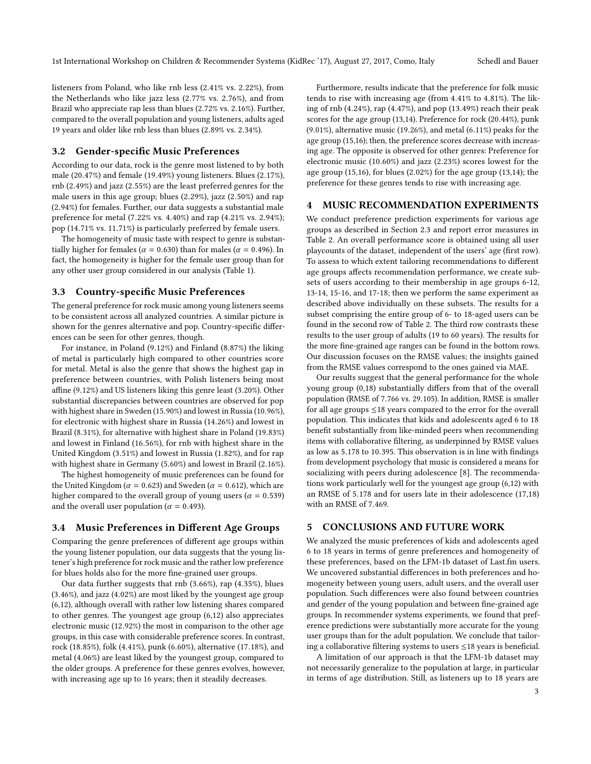listeners from Poland, who like rnb less (2.41% vs. <sup>2</sup>.22%), from the Netherlands who like jazz less (2.77% vs. <sup>2</sup>.76%), and from Brazil who appreciate rap less than blues (2.72% vs. <sup>2</sup>.16%). Further, compared to the overall population and young listeners, adults aged 19 years and older like rnb less than blues (2.89% vs. <sup>2</sup>.34%).

## <span id="page-2-1"></span>3.2 Gender-specific Music Preferences

According to our data, rock is the genre most listened to by both male (20.47%) and female (19.49%) young listeners. Blues (2.17%), rnb (2.49%) and jazz (2.55%) are the least preferred genres for the male users in this age group; blues (2.29%), jazz (2.50%) and rap (2.94%) for females. Further, our data suggests a substantial male preference for metal (7.22% vs. <sup>4</sup>.40%) and rap (4.21% vs. <sup>2</sup>.94%); pop (14.71% vs. <sup>11</sup>.71%) is particularly preferred by female users.

The homogeneity of music taste with respect to genre is substantially higher for females ( $\alpha = 0.630$ ) than for males ( $\alpha = 0.496$ ). In fact, the homogeneity is higher for the female user group than for any other user group considered in our analysis (Table [1\)](#page-3-15).

#### <span id="page-2-2"></span>3.3 Country-specific Music Preferences

The general preference for rock music among young listeners seems to be consistent across all analyzed countries. A similar picture is shown for the genres alternative and pop. Country-specific differences can be seen for other genres, though.

For instance, in Poland (9.12%) and Finland (8.87%) the liking of metal is particularly high compared to other countries score for metal. Metal is also the genre that shows the highest gap in preference between countries, with Polish listeners being most affine (9.12%) and US listeners liking this genre least (3.20%). Other substantial discrepancies between countries are observed for pop with highest share in Sweden (15.90%) and lowest in Russia (10.96%), for electronic with highest share in Russia (14.26%) and lowest in Brazil (8.31%), for alternative with highest share in Poland (19.83%) and lowest in Finland (16.56%), for rnb with highest share in the United Kingdom (3.51%) and lowest in Russia (1.82%), and for rap with highest share in Germany (5.60%) and lowest in Brazil (2.16%).

The highest homogeneity of music preferences can be found for the United Kingdom ( $\alpha = 0.623$ ) and Sweden ( $\alpha = 0.612$ ), which are higher compared to the overall group of young users ( $\alpha = 0.539$ ) and the overall user population ( $\alpha = 0.493$ ).

### <span id="page-2-3"></span>3.4 Music Preferences in Different Age Groups

Comparing the genre preferences of different age groups within the young listener population, our data suggests that the young listener's high preference for rock music and the rather low preference for blues holds also for the more fine-grained user groups.

Our data further suggests that rnb (3.66%), rap (4.35%), blues (3.46%), and jazz (4.02%) are most liked by the youngest age group (6,12), although overall with rather low listening shares compared to other genres. The youngest age group (6,12) also appreciates electronic music (12.92%) the most in comparison to the other age groups, in this case with considerable preference scores. In contrast, rock (18.85%), folk (4.41%), punk (6.60%), alternative (17.18%), and metal (4.06%) are least liked by the youngest group, compared to the older groups. A preference for these genres evolves, however, with increasing age up to 16 years; then it steadily decreases.

Furthermore, results indicate that the preference for folk music tends to rise with increasing age (from <sup>4</sup>.41% to <sup>4</sup>.81%). The liking of rnb (4.24%), rap (4.47%), and pop (13.49%) reach their peak scores for the age group (13,14). Preference for rock (20.44%), punk  $(9.01\%)$ , alternative music  $(19.26\%)$ , and metal  $(6.11\%)$  peaks for the age group (15,16); then, the preference scores decrease with increasing age. The opposite is observed for other genres: Preference for electronic music (10.60%) and jazz (2.23%) scores lowest for the age group (15,16), for blues (2.02%) for the age group (13,14); the preference for these genres tends to rise with increasing age.

#### 4 MUSIC RECOMMENDATION EXPERIMENTS

We conduct preference prediction experiments for various age groups as described in Section [2.3](#page-1-3) and report error measures in Table [2.](#page-3-17) An overall performance score is obtained using all user playcounts of the dataset, independent of the users' age (first row). To assess to which extent tailoring recommendations to different age groups affects recommendation performance, we create subsets of users according to their membership in age groups 6-12, 13-14, 15-16, and 17-18; then we perform the same experiment as described above individually on these subsets. The results for a subset comprising the entire group of 6- to 18-aged users can be found in the second row of Table [2.](#page-3-17) The third row contrasts these results to the user group of adults (19 to 60 years). The results for the more fine-grained age ranges can be found in the bottom rows. Our discussion focuses on the RMSE values; the insights gained from the RMSE values correspond to the ones gained via MAE.

Our results suggest that the general performance for the whole young group (0,18) substantially differs from that of the overall population (RMSE of <sup>7</sup>.<sup>766</sup> vs. <sup>29</sup>.105). In addition, RMSE is smaller for all age groups ≤18 years compared to the error for the overall population. This indicates that kids and adolescents aged 6 to 18 benefit substantially from like-minded peers when recommending items with collaborative filtering, as underpinned by RMSE values as low as <sup>5</sup>.<sup>178</sup> to <sup>10</sup>.395. This observation is in line with findings from development psychology that music is considered a means for socializing with peers during adolescence [\[8\]](#page-3-18). The recommendations work particularly well for the youngest age group (6,12) with an RMSE of <sup>5</sup>.<sup>178</sup> and for users late in their adolescence (17,18) with an RMSE of <sup>7</sup>.469.

#### <span id="page-2-0"></span>5 CONCLUSIONS AND FUTURE WORK

We analyzed the music preferences of kids and adolescents aged 6 to 18 years in terms of genre preferences and homogeneity of these preferences, based on the LFM-1b dataset of Last.fm users. We uncovered substantial differences in both preferences and homogeneity between young users, adult users, and the overall user population. Such differences were also found between countries and gender of the young population and between fine-grained age groups. In recommender systems experiments, we found that preference predictions were substantially more accurate for the young user groups than for the adult population. We conclude that tailoring a collaborative filtering systems to users ≤18 years is beneficial.

A limitation of our approach is that the LFM-1b dataset may not necessarily generalize to the population at large, in particular in terms of age distribution. Still, as listeners up to 18 years are